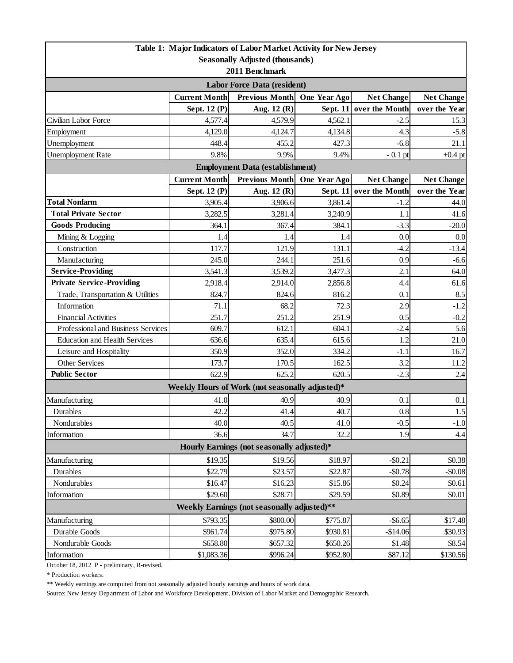| Table 1: Major Indicators of Labor Market Activity for New Jersey          |                      |                                                 |              |                         |                   |  |  |  |
|----------------------------------------------------------------------------|----------------------|-------------------------------------------------|--------------|-------------------------|-------------------|--|--|--|
| <b>Seasonally Adjusted (thousands)</b>                                     |                      |                                                 |              |                         |                   |  |  |  |
| 2011 Benchmark                                                             |                      |                                                 |              |                         |                   |  |  |  |
| <b>Labor Force Data (resident)</b>                                         |                      |                                                 |              |                         |                   |  |  |  |
|                                                                            | <b>Current Month</b> | Previous Month                                  | One Year Ago | <b>Net Change</b>       | <b>Net Change</b> |  |  |  |
|                                                                            | Sept. 12 (P)         | Aug. 12 (R)                                     |              | Sept. 11 over the Month | over the Year     |  |  |  |
| Civilian Labor Force                                                       | 4,577.4              | 4,579.9                                         | 4,562.1      | $-2.5$                  | 15.3              |  |  |  |
| Employment                                                                 | 4,129.0              | 4,124.7                                         | 4,134.8      | 4.3                     | $-5.8$            |  |  |  |
| Unemployment                                                               | 448.4                | 455.2                                           | 427.3        | $-6.8$                  | 21.1              |  |  |  |
| <b>Unemployment Rate</b>                                                   | 9.8%                 | 9.9%                                            | 9.4%         | $-0.1$ pt               | $+0.4$ pt         |  |  |  |
| <b>Employment Data (establishment)</b>                                     |                      |                                                 |              |                         |                   |  |  |  |
|                                                                            | <b>Current Month</b> | <b>Previous Month</b>                           | One Year Ago | <b>Net Change</b>       | <b>Net Change</b> |  |  |  |
|                                                                            | Sept. 12 (P)         | Aug. 12 (R)                                     | Sept. $11$   | over the Month          | over the Year     |  |  |  |
| <b>Total Nonfarm</b>                                                       | 3,905.4              | 3,906.6                                         | 3,861.4      | $-1.2$                  | 44.0              |  |  |  |
| <b>Total Private Sector</b>                                                | 3,282.5              | 3,281.4                                         | 3,240.9      | 1.1                     | 41.6              |  |  |  |
| <b>Goods Producing</b>                                                     | 364.1                | 367.4                                           | 384.1        | $-3.3$                  | $-20.0$           |  |  |  |
| Mining & Logging                                                           | 1.4                  | 1.4                                             | 1.4          | 0.0                     | 0.0               |  |  |  |
| Construction                                                               | 117.7                | 121.9                                           | 131.1        | $-4.2$                  | $-13.4$           |  |  |  |
| Manufacturing                                                              | 245.0                | 244.1                                           | 251.6        | 0.9                     | $-6.6$            |  |  |  |
| <b>Service-Providing</b>                                                   | 3,541.3              | 3,539.2                                         | 3,477.3      | 2.1                     | 64.0              |  |  |  |
| <b>Private Service-Providing</b>                                           | 2,918.4              | 2,914.0                                         | 2,856.8      | 4.4                     | 61.6              |  |  |  |
| Trade, Transportation & Utilities                                          | 824.7                | 824.6                                           | 816.2        | 0.1                     | 8.5               |  |  |  |
| Information                                                                | 71.1                 | 68.2                                            | 72.3         | 2.9                     | $-1.2$            |  |  |  |
| <b>Financial Activities</b>                                                | 251.7                | 251.2                                           | 251.9        | 0.5                     | $-0.2$            |  |  |  |
| Professional and Business Services                                         | 609.7                | 612.1                                           | 604.1        | $-2.4$                  | 5.6               |  |  |  |
| <b>Education and Health Services</b>                                       | 636.6                | 635.4                                           | 615.6        | 1.2                     | 21.0              |  |  |  |
| Leisure and Hospitality                                                    | 350.9                | 352.0                                           | 334.2        | $-1.1$                  | 16.7              |  |  |  |
| Other Services                                                             | 173.7                | 170.5                                           | 162.5        | 3.2                     | 11.2              |  |  |  |
| <b>Public Sector</b>                                                       | 622.9                | 625.2                                           | 620.5        | $-2.3$                  | 2.4               |  |  |  |
|                                                                            |                      | Weekly Hours of Work (not seasonally adjusted)* |              |                         |                   |  |  |  |
| Manufacturing                                                              | 41.0                 | 40.9                                            | 40.9         | 0.1                     | 0.1               |  |  |  |
| Durables                                                                   | 42.2                 | 41.4                                            | 40.7         | 0.8                     | 1.5               |  |  |  |
| Nondurables                                                                | 40.0                 | 40.5                                            | 41.0         | $-0.5$                  | $-1.0$            |  |  |  |
| Information                                                                | 36.6                 | 34.7                                            | 32.2         | 1.9                     | 4.4               |  |  |  |
| Hourly Earnings (not seasonally adjusted)*                                 |                      |                                                 |              |                         |                   |  |  |  |
| Manufacturing                                                              | \$19.35              | \$19.56                                         | \$18.97      | $-$ \$0.21              | \$0.38            |  |  |  |
| Durables                                                                   | \$22.79              | \$23.57                                         | \$22.87      | $-$0.78$                | $-$0.08$          |  |  |  |
| Nondurables                                                                | \$16.47              | \$16.23                                         | \$15.86      | \$0.24                  | \$0.61            |  |  |  |
| Information                                                                | \$29.60              | \$28.71                                         | \$29.59      | \$0.89                  | \$0.01            |  |  |  |
| Weekly Earnings (not seasonally adjusted)**                                |                      |                                                 |              |                         |                   |  |  |  |
| \$793.35<br>\$800.00<br>$-$ \$6.65<br>Manufacturing<br>\$775.87<br>\$17.48 |                      |                                                 |              |                         |                   |  |  |  |
| Durable Goods                                                              | \$961.74             | \$975.80                                        | \$930.81     | $-$14.06$               | \$30.93           |  |  |  |
| Nondurable Goods                                                           | \$658.80             | \$657.32                                        | \$650.26     | \$1.48                  | \$8.54            |  |  |  |
| Information                                                                | \$1,083.36           | \$996.24                                        | \$952.80     | \$87.12                 | \$130.56          |  |  |  |

October 18, 2012 P - preliminary, R-revised.

\* Production workers.

\*\* Weekly earnings are computed from not seasonally adjusted hourly earnings and hours of work data.

Source: New Jersey Department of Labor and Workforce Development, Division of Labor Market and Demographic Research.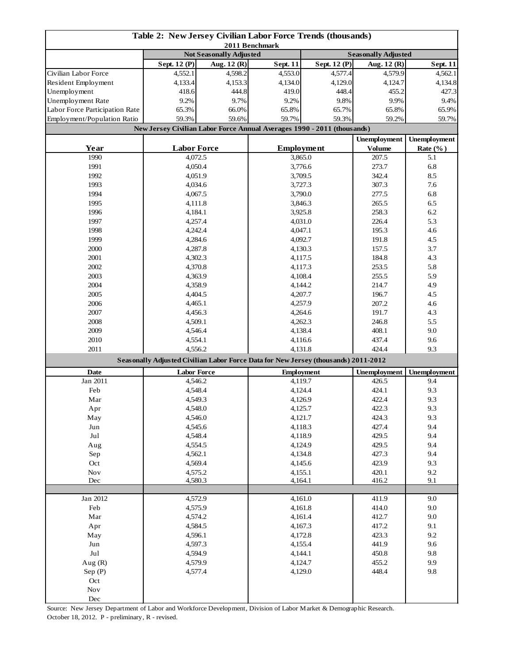| Table 2: New Jersey Civilian Labor Force Trends (thousands)<br>2011 Benchmark |                                                                                    |                                |                    |                   |                            |                     |
|-------------------------------------------------------------------------------|------------------------------------------------------------------------------------|--------------------------------|--------------------|-------------------|----------------------------|---------------------|
|                                                                               |                                                                                    | <b>Not Seasonally Adjusted</b> |                    |                   | <b>Seasonally Adjusted</b> |                     |
|                                                                               | Sept. 12 (P)                                                                       | Aug. 12 (R)                    | <b>Sept. 11</b>    | Sept. 12 (P)      | Aug. 12 (R)                | <b>Sept. 11</b>     |
| Civilian Labor Force                                                          | 4,552.1                                                                            | 4,598.2                        | 4,553.0            | 4,577.4           | 4,579.9                    | 4,562.1             |
| Resident Employment                                                           | 4,133.4                                                                            | 4,153.3                        | 4,134.0            | 4,129.0           | 4,124.7                    | 4,134.8             |
| Unemployment                                                                  | 418.6                                                                              | 444.8                          | 419.0              | 448.4             | 455.2                      | 427.3               |
| Unemployment Rate                                                             | 9.2%                                                                               | 9.7%                           | 9.2%               | 9.8%              | 9.9%                       | 9.4%                |
| Labor Force Participation Rate                                                | 65.3%                                                                              | 66.0%                          | 65.8%              | 65.7%             | 65.8%                      | 65.9%               |
| Employment/Population Ratio                                                   | 59.3%                                                                              | 59.6%                          | 59.7%<br>59.3%     |                   | 59.2%                      | 59.7%               |
|                                                                               | New Jersey Civilian Labor Force Annual Averages 1990 - 2011 (thousands)            |                                |                    |                   |                            |                     |
|                                                                               |                                                                                    |                                |                    |                   | <b>Unemployment</b>        | <b>Unemployment</b> |
| Year                                                                          | <b>Labor Force</b>                                                                 |                                |                    | <b>Employment</b> | <b>Volume</b>              | Rate $(\%$ )        |
| 1990                                                                          | 4,072.5                                                                            |                                |                    | 3,865.0           | 207.5                      | 5.1                 |
| 1991                                                                          | 4,050.4                                                                            |                                | 3,776.6            |                   | 273.7                      | 6.8                 |
| 1992                                                                          | 4,051.9                                                                            |                                | 3,709.5            |                   | 342.4                      | 8.5                 |
| 1993                                                                          | 4,034.6                                                                            |                                |                    |                   | 307.3                      | 7.6                 |
| 1994                                                                          | 4,067.5                                                                            |                                | 3,727.3<br>3,790.0 |                   | 277.5                      | 6.8                 |
| 1995                                                                          |                                                                                    |                                |                    |                   | 265.5                      | 6.5                 |
|                                                                               | 4,111.8                                                                            |                                |                    | 3,846.3           |                            |                     |
| 1996                                                                          | 4,184.1                                                                            |                                |                    | 3,925.8           | 258.3                      | 6.2                 |
| 1997                                                                          | 4,257.4                                                                            |                                |                    | 4,031.0           | 226.4                      | 5.3                 |
| 1998                                                                          | 4,242.4                                                                            |                                | 4,047.1            |                   | 195.3                      | 4.6                 |
| 1999                                                                          | 4,284.6                                                                            |                                | 4,092.7            |                   | 191.8                      | 4.5                 |
| 2000                                                                          | 4,287.8                                                                            |                                |                    | 4,130.3           | 157.5                      | 3.7                 |
| 2001                                                                          | 4,302.3                                                                            |                                | 4,117.5            |                   | 184.8                      | 4.3                 |
| 2002                                                                          | 4,370.8                                                                            |                                |                    | 4,117.3           | 253.5<br>255.5             | 5.8                 |
| 2003                                                                          | 4,363.9                                                                            |                                |                    | 4,108.4           |                            | 5.9                 |
| 2004                                                                          | 4,358.9                                                                            |                                | 4,144.2            |                   | 214.7                      | 4.9                 |
| 2005                                                                          | 4,404.5                                                                            |                                | 4,207.7            |                   | 196.7                      | 4.5                 |
| 2006                                                                          | 4,465.1                                                                            |                                | 4,257.9            |                   | 207.2                      | 4.6                 |
| 2007                                                                          | 4,456.3                                                                            |                                | 4,264.6            |                   | 191.7                      | 4.3                 |
| 2008                                                                          | 4,509.1                                                                            |                                | 4,262.3            |                   | 246.8                      | 5.5                 |
| 2009                                                                          | 4,546.4                                                                            |                                | 4,138.4            |                   | 408.1                      | 9.0                 |
| 2010                                                                          | 4,554.1                                                                            |                                | 4,116.6            |                   | 437.4                      | 9.6                 |
| 2011                                                                          | 4,556.2                                                                            |                                | 4,131.8            |                   | 424.4                      | 9.3                 |
|                                                                               | Seasonally Adjusted Civilian Labor Force Data for New Jersey (thousands) 2011-2012 |                                |                    |                   |                            |                     |
| Date                                                                          | <b>Labor Force</b>                                                                 |                                | <b>Employment</b>  |                   | <b>Unemployment</b>        | Unemployment        |
| Jan 2011                                                                      | 4,546.2                                                                            |                                | 4,119.7            |                   | 426.5                      | 9.4                 |
| Feb                                                                           | 4,548.4                                                                            |                                | 4,124.4            |                   | 424.1                      | 9.3                 |
| Mar                                                                           | 4,549.3                                                                            |                                | 4,126.9            |                   | 422.4                      | 9.3                 |
| Apr                                                                           | 4,548.0                                                                            |                                | 4,125.7            |                   | 422.3                      | 9.3                 |
| May                                                                           | 4,546.0                                                                            |                                | 4,121.7            |                   | 424.3                      | 9.3                 |
| Jun                                                                           | 4,545.6                                                                            |                                | 4,118.3            |                   | 427.4                      | 9.4                 |
| $_{\rm{Jul}}$                                                                 | 4,548.4                                                                            |                                | 4,118.9            |                   | 429.5                      | 9.4                 |
| Aug                                                                           | 4,554.5                                                                            |                                | 4,124.9            |                   | 429.5                      | 9.4                 |
| Sep                                                                           | 4,562.1                                                                            |                                | 4,134.8            |                   | 427.3                      | 9.4                 |
| Oct                                                                           | 4,569.4                                                                            |                                | 4,145.6            |                   | 423.9                      | 9.3                 |
| $\operatorname{Nov}$                                                          | 4,575.2                                                                            |                                | 4,155.1            |                   | 420.1                      | 9.2                 |
| Dec                                                                           | 4,580.3                                                                            |                                | 4,164.1            |                   | 416.2                      | 9.1                 |
|                                                                               |                                                                                    |                                |                    |                   |                            |                     |
| Jan 2012                                                                      | 4,572.9                                                                            |                                | 4,161.0            |                   | 411.9                      | 9.0                 |
| Feb                                                                           | 4,575.9                                                                            |                                | 4,161.8            |                   | 414.0                      | 9.0                 |
| Mar                                                                           | 4,574.2                                                                            |                                | 4,161.4            |                   | 412.7                      | 9.0                 |
| Apr                                                                           | 4,584.5                                                                            |                                | 4,167.3            |                   | 417.2                      | 9.1                 |
| May                                                                           | 4,596.1                                                                            |                                | 4,172.8            |                   | 423.3                      | 9.2                 |
| Jun                                                                           | 4,597.3                                                                            |                                | 4,155.4            |                   | 441.9                      | 9.6                 |
| Jul                                                                           | 4,594.9                                                                            |                                | 4,144.1            |                   | 450.8                      | 9.8                 |
| Aug $(R)$                                                                     | 4,579.9                                                                            |                                | 4,124.7            |                   | 455.2                      | 9.9                 |
| Sep(P)                                                                        | 4,577.4                                                                            |                                |                    | 4,129.0           | 448.4                      | 9.8                 |
| Oct                                                                           |                                                                                    |                                |                    |                   |                            |                     |
| Nov                                                                           |                                                                                    |                                |                    |                   |                            |                     |
| Dec                                                                           |                                                                                    |                                |                    |                   |                            |                     |

Source: New Jersey Department of Labor and Workforce Development, Division of Labor Market & Demographic Research. October 18, 2012. P - preliminary, R - revised.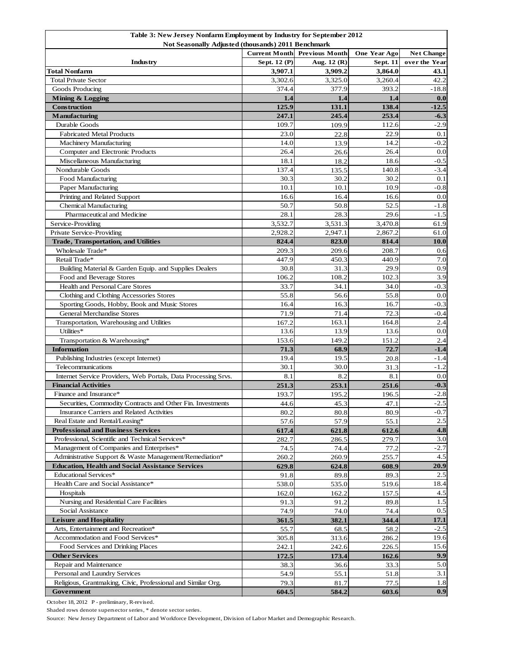| Table 3: New Jersey Nonfarm Employment by Industry for September 2012 |                                                    |                       |                     |                   |  |  |
|-----------------------------------------------------------------------|----------------------------------------------------|-----------------------|---------------------|-------------------|--|--|
|                                                                       | Not Seasonally Adjusted (thousands) 2011 Benchmark |                       |                     |                   |  |  |
|                                                                       | <b>Current Month</b>                               | <b>Previous Month</b> | <b>One Year Ago</b> | <b>Net Change</b> |  |  |
| Industry                                                              | Sept. 12 (P)                                       | Aug. 12 (R)           | <b>Sept. 11</b>     | over the Year     |  |  |
| <b>Total Nonfarm</b>                                                  | 3,907.1<br>3,302.6                                 | 3,909.2<br>3,325.0    | 3,864.0<br>3,260.4  | 43.1<br>42.2      |  |  |
| <b>Total Private Sector</b>                                           | 374.4                                              | 377.9                 |                     |                   |  |  |
| Goods Producing                                                       |                                                    |                       | 393.2               | $-18.8$           |  |  |
| Mining & Logging<br><b>Construction</b>                               | 1.4                                                | 1.4                   | 1.4                 | 0.0               |  |  |
|                                                                       | 125.9                                              | 131.1                 | 138.4<br>253.4      | $-12.5$           |  |  |
| <b>Manufacturing</b><br>Durable Goods                                 | 247.1<br>109.7                                     | 245.4                 | 112.6               | $-6.3$<br>$-2.9$  |  |  |
| <b>Fabricated Metal Products</b>                                      | 23.0                                               | 109.9                 | 22.9                | 0.1               |  |  |
| <b>Machinery Manufacturing</b>                                        | 14.0                                               | 22.8                  | 14.2                | $-0.2$            |  |  |
| Computer and Electronic Products                                      | 26.4                                               | 13.9<br>26.6          | 26.4                | 0.0               |  |  |
| Miscellaneous Manufacturing                                           | 18.1                                               |                       | 18.6                | $-0.5$            |  |  |
| Nondurable Goods                                                      | 137.4                                              | 18.2<br>135.5         | 140.8               | $-3.4$            |  |  |
| Food Manufacturing                                                    | 30.3                                               | 30.2                  | 30.2                | 0.1               |  |  |
| Paper Manufacturing                                                   | 10.1                                               | 10.1                  | 10.9                | $-0.8$            |  |  |
|                                                                       | 16.6                                               | 16.4                  | 16.6                | 0.0               |  |  |
| Printing and Related Support<br><b>Chemical Manufacturing</b>         | 50.7                                               | 50.8                  | 52.5                | $-1.8$            |  |  |
| Pharmaceutical and Medicine                                           | 28.1                                               | 28.3                  | 29.6                | $-1.5$            |  |  |
|                                                                       | 3.532.7                                            | 3,531.3               | 3,470.8             | 61.9              |  |  |
| Service-Providing<br>Private Service-Providing                        | 2,928.2                                            | 2,947.1               | 2.867.2             | 61.0              |  |  |
|                                                                       |                                                    |                       |                     |                   |  |  |
| Trade, Transportation, and Utilities<br>Wholesale Trade*              | 824.4<br>209.3                                     | 823.0                 | 814.4<br>208.7      | <b>10.0</b>       |  |  |
| Retail Trade*                                                         | 447.9                                              | 209.6<br>450.3        | 440.9               | 0.6<br>7.0        |  |  |
|                                                                       |                                                    |                       |                     |                   |  |  |
| Building Material & Garden Equip. and Supplies Dealers                | 30.8                                               | 31.3                  | 29.9                | 0.9               |  |  |
| Food and Beverage Stores                                              | 106.2                                              | 108.2                 | 102.3               | 3.9               |  |  |
| Health and Personal Care Stores                                       | 33.7                                               | 34.1                  | 34.0                | $-0.3$            |  |  |
| Clothing and Clothing Accessories Stores                              | 55.8                                               | 56.6                  | 55.8                | 0.0               |  |  |
| Sporting Goods, Hobby, Book and Music Stores                          | 16.4                                               | 16.3                  | 16.7                | $-0.3$            |  |  |
| <b>General Merchandise Stores</b>                                     | 71.9                                               | 71.4                  | 72.3                | $-0.4$            |  |  |
| Transportation, Warehousing and Utilities                             | 167.2                                              | 163.1                 | 164.8               | 2.4               |  |  |
| Utilities*                                                            | 13.6                                               | 13.9                  | 13.6                | 0.0               |  |  |
| Transportation & Warehousing*                                         | 153.6                                              | 149.2                 | 151.2               | 2.4               |  |  |
| <b>Information</b>                                                    | 71.3                                               | 68.9                  | 72.7                | $-1.4$            |  |  |
| Publishing Industries (except Internet)                               | 19.4                                               | 19.5                  | 20.8                | $-1.4$            |  |  |
| Telecommunications                                                    | 30.1                                               | 30.0                  | 31.3                | $-1.2$            |  |  |
| Internet Service Providers, Web Portals, Data Processing Srvs.        | 8.1                                                | 8.2                   | 8.1                 | 0.0               |  |  |
| <b>Financial Activities</b>                                           | 251.3                                              | 253.1                 | 251.6               | $-0.3$            |  |  |
| Finance and Insurance*                                                | 193.7                                              | 195.2                 | 196.5               | $-2.8$            |  |  |
| Securities, Commodity Contracts and Other Fin. Investments            | 44.6                                               | 45.3                  | 47.1                | $-2.5$            |  |  |
| Insurance Carriers and Related Activities                             | 80.2                                               | 80.8                  | 80.9                | $-0.7$            |  |  |
| Real Estate and Rental/Leasing*                                       | 57.6                                               | 57.9                  | 55.1                | 2.5               |  |  |
| <b>Professional and Business Services</b>                             | 617.4                                              | 621.8                 | 612.6               | 4.8               |  |  |
| Professional, Scientific and Technical Services*                      | 282.7                                              | 286.5                 | 279.7               | 3.0               |  |  |
| Management of Companies and Enterprises*                              | 74.5                                               | 74.4                  | 77.2                | $-2.7$            |  |  |
| Administrative Support & Waste Management/Remediation*                | 260.2                                              | 260.9                 | 255.7               | 4.5               |  |  |
| <b>Education, Health and Social Assistance Services</b>               | 629.8                                              | 624.8                 | 608.9               | 20.9              |  |  |
| Educational Services*                                                 | 91.8                                               | 89.8                  | 89.3                | 2.5               |  |  |
| Health Care and Social Assistance*                                    | 538.0                                              | 535.0                 | 519.6               | 18.4              |  |  |
| Hospitals                                                             | 162.0                                              | 162.2                 | 157.5               | 4.5               |  |  |
| Nursing and Residential Care Facilities                               | 91.3                                               | 91.2                  | 89.8                | 1.5               |  |  |
| Social Assistance                                                     | 74.9                                               | 74.0                  | 74.4                | 0.5               |  |  |
| <b>Leisure and Hospitality</b>                                        | 361.5                                              | 382.1                 | 344.4               | 17.1              |  |  |
| Arts, Entertainment and Recreation*                                   | 55.7                                               | 68.5                  | 58.2                | $-2.5$            |  |  |
| Accommodation and Food Services*                                      | 305.8                                              | 313.6                 | 286.2               | 19.6              |  |  |
| Food Services and Drinking Places                                     | 242.1                                              | 242.6                 | 226.5               | 15.6              |  |  |
| <b>Other Services</b>                                                 | 172.5                                              | 173.4                 | 162.6               | 9.9               |  |  |
| Repair and Maintenance                                                | 38.3                                               | 36.6                  | 33.3                | 5.0               |  |  |
| Personal and Laundry Services                                         | 54.9                                               | 55.1                  | 51.8                | 3.1               |  |  |
| Religious, Grantmaking, Civic, Professional and Similar Org.          | 79.3                                               | 81.7                  | 77.5                | 1.8               |  |  |
| Government                                                            | 604.5                                              | 584.2                 | 603.6               | 0.9               |  |  |

October 18, 2012 P - preliminary, R-revised.

Shaded rows denote supersector series, \* denote sector series.

Source: New Jersey Department of Labor and Workforce Development, Division of Labor Market and Demographic Research.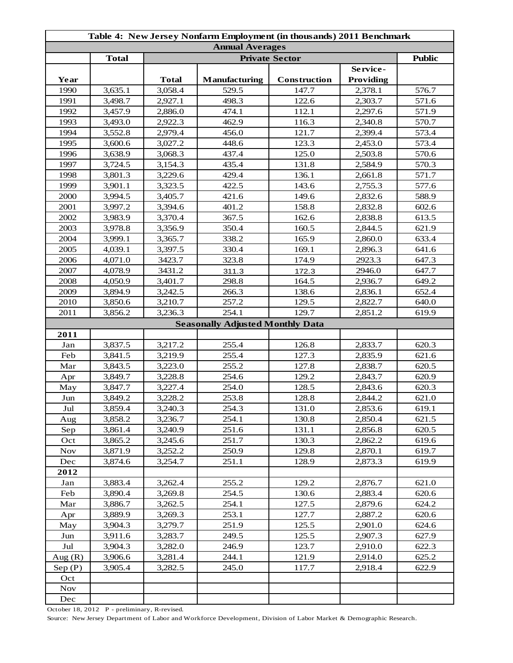| Table 4: New Jersey Nonfarm Employment (in thousands) 2011 Benchmark |              |              |                                         |              |           |       |  |
|----------------------------------------------------------------------|--------------|--------------|-----------------------------------------|--------------|-----------|-------|--|
| <b>Annual Averages</b>                                               |              |              |                                         |              |           |       |  |
|                                                                      | <b>Total</b> |              | <b>Public</b>                           |              |           |       |  |
|                                                                      |              |              |                                         |              | Service-  |       |  |
| Year                                                                 |              | <b>Total</b> | Manufacturing                           | Construction | Providing |       |  |
| 1990                                                                 | 3,635.1      | 3,058.4      | 529.5                                   | 147.7        | 2,378.1   | 576.7 |  |
| 1991                                                                 | 3,498.7      | 2,927.1      | 498.3                                   | 122.6        | 2,303.7   | 571.6 |  |
| 1992                                                                 | 3,457.9      | 2,886.0      | 474.1                                   | 112.1        | 2,297.6   | 571.9 |  |
| 1993                                                                 | 3,493.0      | 2,922.3      | 462.9                                   | 116.3        | 2,340.8   | 570.7 |  |
| 1994                                                                 | 3,552.8      | 2,979.4      | 456.0                                   | 121.7        | 2,399.4   | 573.4 |  |
| 1995                                                                 | 3,600.6      | 3,027.2      | 448.6                                   | 123.3        | 2,453.0   | 573.4 |  |
| 1996                                                                 | 3,638.9      | 3,068.3      | 437.4                                   | 125.0        | 2,503.8   | 570.6 |  |
| 1997                                                                 | 3,724.5      | 3,154.3      | 435.4                                   | 131.8        | 2,584.9   | 570.3 |  |
| 1998                                                                 | 3,801.3      | 3,229.6      | 429.4                                   | 136.1        | 2,661.8   | 571.7 |  |
| 1999                                                                 | 3,901.1      | 3,323.5      | 422.5                                   | 143.6        | 2,755.3   | 577.6 |  |
| 2000                                                                 | 3,994.5      | 3,405.7      | 421.6                                   | 149.6        | 2,832.6   | 588.9 |  |
| 2001                                                                 | 3,997.2      | 3,394.6      | 401.2                                   | 158.8        | 2,832.8   | 602.6 |  |
| 2002                                                                 | 3,983.9      | 3,370.4      | 367.5                                   | 162.6        | 2,838.8   | 613.5 |  |
| 2003                                                                 | 3,978.8      | 3,356.9      | 350.4                                   | 160.5        | 2,844.5   | 621.9 |  |
| 2004                                                                 | 3,999.1      | 3,365.7      | 338.2                                   | 165.9        | 2,860.0   | 633.4 |  |
| 2005                                                                 | 4,039.1      | 3,397.5      | 330.4                                   | 169.1        | 2,896.3   | 641.6 |  |
| 2006                                                                 | 4,071.0      | 3423.7       | 323.8                                   | 174.9        | 2923.3    | 647.3 |  |
| 2007                                                                 | 4,078.9      | 3431.2       | 311.3                                   | 172.3        | 2946.0    | 647.7 |  |
| 2008                                                                 | 4,050.9      | 3,401.7      | 298.8                                   | 164.5        | 2,936.7   | 649.2 |  |
| 2009                                                                 | 3,894.9      | 3,242.5      | 266.3                                   | 138.6        | 2,836.1   | 652.4 |  |
| 2010                                                                 | 3,850.6      | 3,210.7      | 257.2                                   | 129.5        | 2,822.7   | 640.0 |  |
| 2011                                                                 | 3,856.2      | 3,236.3      | 254.1                                   | 129.7        | 2,851.2   | 619.9 |  |
|                                                                      |              |              | <b>Seasonally Adjusted Monthly Data</b> |              |           |       |  |
| 2011                                                                 |              |              |                                         |              |           |       |  |
| Jan                                                                  | 3,837.5      | 3,217.2      | 255.4                                   | 126.8        | 2,833.7   | 620.3 |  |
| Feb                                                                  | 3,841.5      | 3,219.9      | 255.4                                   | 127.3        | 2,835.9   | 621.6 |  |
| Mar                                                                  | 3,843.5      | 3,223.0      | 255.2                                   | 127.8        | 2,838.7   | 620.5 |  |
| Apr                                                                  | 3,849.7      | 3,228.8      | 254.6                                   | 129.2        | 2,843.7   | 620.9 |  |
| May                                                                  | 3,847.7      | 3,227.4      | 254.0                                   | 128.5        | 2,843.6   | 620.3 |  |
| $\mathop{\text{Jun}}$                                                | 3,849.2      | 3,228.2      | 253.8                                   | 128.8        | 2,844.2   | 621.0 |  |
| Jul                                                                  | 3,859.4      | 3,240.3      | 254.3                                   | 131.0        | 2,853.6   | 619.1 |  |
| Aug                                                                  | 3,858.2      | 3,236.7      | 254.1                                   | 130.8        | 2,850.4   | 621.5 |  |
| Sep                                                                  | 3,861.4      | 3,240.9      | 251.6                                   | 131.1        | 2,856.8   | 620.5 |  |
| Oct                                                                  | 3,865.2      | 3,245.6      | 251.7                                   | 130.3        | 2,862.2   | 619.6 |  |
| <b>Nov</b>                                                           | 3,871.9      | 3,252.2      | 250.9                                   | 129.8        | 2,870.1   | 619.7 |  |
| Dec                                                                  | 3,874.6      | 3,254.7      | 251.1                                   | 128.9        | 2,873.3   | 619.9 |  |
| 2012                                                                 |              |              |                                         |              |           |       |  |
| Jan                                                                  | 3,883.4      | 3,262.4      | 255.2                                   | 129.2        | 2,876.7   | 621.0 |  |
| Feb                                                                  | 3,890.4      | 3,269.8      | 254.5                                   | 130.6        | 2,883.4   | 620.6 |  |
| Mar                                                                  | 3,886.7      | 3,262.5      | 254.1                                   | 127.5        | 2,879.6   | 624.2 |  |
| Apr                                                                  | 3,889.9      | 3,269.3      | 253.1                                   | 127.7        | 2,887.2   | 620.6 |  |
| May                                                                  | 3,904.3      | 3,279.7      | 251.9                                   | 125.5        | 2,901.0   | 624.6 |  |
| Jun                                                                  | 3,911.6      | 3,283.7      | 249.5                                   | 125.5        | 2,907.3   | 627.9 |  |
| Jul                                                                  | 3,904.3      | 3,282.0      | 246.9                                   | 123.7        | 2,910.0   | 622.3 |  |
| Aug $(R)$                                                            | 3,906.6      | 3,281.4      | 244.1                                   | 121.9        | 2,914.0   | 625.2 |  |
| Sep(P)                                                               | 3,905.4      | 3,282.5      | 245.0                                   | 117.7        | 2,918.4   | 622.9 |  |
| Oct                                                                  |              |              |                                         |              |           |       |  |
| <b>Nov</b>                                                           |              |              |                                         |              |           |       |  |
| Dec                                                                  |              |              |                                         |              |           |       |  |

October 18, 2012 P - preliminary, R-revised.

Source: New Jersey Department of Labor and Workforce Development, Division of Labor Market & Demographic Research.